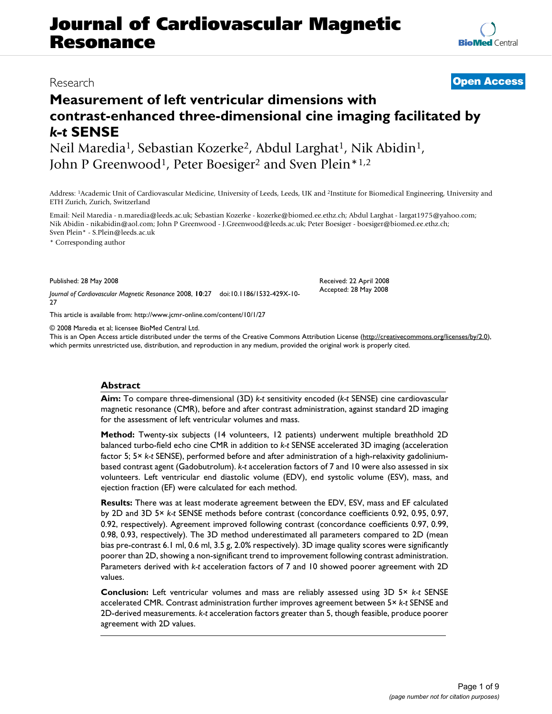# **Journal of Cardiovascular Magnetic Resonance**

## **Measurement of left ventricular dimensions with contrast-enhanced three-dimensional cine imaging facilitated by**  *k-t* **SENSE**

Neil Maredia<sup>1</sup>, Sebastian Kozerke<sup>2</sup>, Abdul Larghat<sup>1</sup>, Nik Abidin<sup>1</sup>, John P Greenwood<sup>1</sup>, Peter Boesiger<sup>2</sup> and Sven Plein<sup>\*1,2</sup>

Address: 1Academic Unit of Cardiovascular Medicine, University of Leeds, Leeds, UK and 2Institute for Biomedical Engineering, University and ETH Zurich, Zurich, Switzerland

Email: Neil Maredia - n.maredia@leeds.ac.uk; Sebastian Kozerke - kozerke@biomed.ee.ethz.ch; Abdul Larghat - largat1975@yahoo.com; Nik Abidin - nikabidin@aol.com; John P Greenwood - J.Greenwood@leeds.ac.uk; Peter Boesiger - boesiger@biomed.ee.ethz.ch; Sven Plein\* - S.Plein@leeds.ac.uk

\* Corresponding author

Published: 28 May 2008

*Journal of Cardiovascular Magnetic Resonance* 2008, **10**:27 doi:10.1186/1532-429X-10- 27

[This article is available from: http://www.jcmr-online.com/content/10/1/27](http://www.jcmr-online.com/content/10/1/27)

© 2008 Maredia et al; licensee BioMed Central Ltd.

This is an Open Access article distributed under the terms of the Creative Commons Attribution License [\(http://creativecommons.org/licenses/by/2.0\)](http://creativecommons.org/licenses/by/2.0), which permits unrestricted use, distribution, and reproduction in any medium, provided the original work is properly cited.

#### **Abstract**

**Aim:** To compare three-dimensional (3D) *k-t* sensitivity encoded (*k-t* SENSE) cine cardiovascular magnetic resonance (CMR), before and after contrast administration, against standard 2D imaging for the assessment of left ventricular volumes and mass.

**Method:** Twenty-six subjects (14 volunteers, 12 patients) underwent multiple breathhold 2D balanced turbo-field echo cine CMR in addition to *k-t* SENSE accelerated 3D imaging (acceleration factor 5; 5× *k-t* SENSE), performed before and after administration of a high-relaxivity gadoliniumbased contrast agent (Gadobutrolum). *k-t* acceleration factors of 7 and 10 were also assessed in six volunteers. Left ventricular end diastolic volume (EDV), end systolic volume (ESV), mass, and ejection fraction (EF) were calculated for each method.

**Results:** There was at least moderate agreement between the EDV, ESV, mass and EF calculated by 2D and 3D 5× *k-t* SENSE methods before contrast (concordance coefficients 0.92, 0.95, 0.97, 0.92, respectively). Agreement improved following contrast (concordance coefficients 0.97, 0.99, 0.98, 0.93, respectively). The 3D method underestimated all parameters compared to 2D (mean bias pre-contrast 6.1 ml, 0.6 ml, 3.5 g, 2.0% respectively). 3D image quality scores were significantly poorer than 2D, showing a non-significant trend to improvement following contrast administration. Parameters derived with *k-t* acceleration factors of 7 and 10 showed poorer agreement with 2D values.

**Conclusion:** Left ventricular volumes and mass are reliably assessed using 3D 5× *k-t* SENSE accelerated CMR. Contrast administration further improves agreement between 5× *k-t* SENSE and 2D-derived measurements. *k-t* acceleration factors greater than 5, though feasible, produce poorer agreement with 2D values.



## Research **[Open Access](http://www.biomedcentral.com/info/about/charter/)**

Received: 22 April 2008 Accepted: 28 May 2008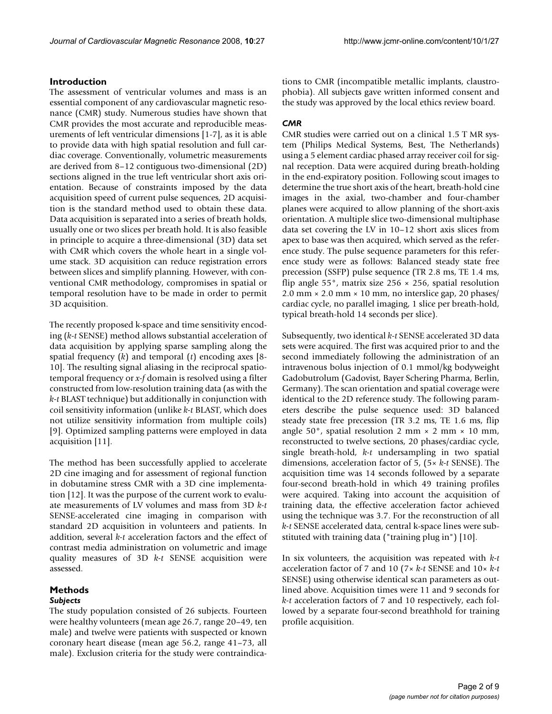#### **Introduction**

The assessment of ventricular volumes and mass is an essential component of any cardiovascular magnetic resonance (CMR) study. Numerous studies have shown that CMR provides the most accurate and reproducible measurements of left ventricular dimensions [1-7], as it is able to provide data with high spatial resolution and full cardiac coverage. Conventionally, volumetric measurements are derived from 8–12 contiguous two-dimensional (2D) sections aligned in the true left ventricular short axis orientation. Because of constraints imposed by the data acquisition speed of current pulse sequences, 2D acquisition is the standard method used to obtain these data. Data acquisition is separated into a series of breath holds, usually one or two slices per breath hold. It is also feasible in principle to acquire a three-dimensional (3D) data set with CMR which covers the whole heart in a single volume stack. 3D acquisition can reduce registration errors between slices and simplify planning. However, with conventional CMR methodology, compromises in spatial or temporal resolution have to be made in order to permit 3D acquisition.

The recently proposed k-space and time sensitivity encoding (*k-t* SENSE) method allows substantial acceleration of data acquisition by applying sparse sampling along the spatial frequency (*k*) and temporal (*t*) encoding axes [8- 10]. The resulting signal aliasing in the reciprocal spatiotemporal frequency or *x-f* domain is resolved using a filter constructed from low-resolution training data (as with the *k-t* BLAST technique) but additionally in conjunction with coil sensitivity information (unlike *k-t* BLAST, which does not utilize sensitivity information from multiple coils) [9]. Optimized sampling patterns were employed in data acquisition [11].

The method has been successfully applied to accelerate 2D cine imaging and for assessment of regional function in dobutamine stress CMR with a 3D cine implementation [\[12](#page-8-0)]. It was the purpose of the current work to evaluate measurements of LV volumes and mass from 3D *k-t* SENSE-accelerated cine imaging in comparison with standard 2D acquisition in volunteers and patients. In addition, several *k-t* acceleration factors and the effect of contrast media administration on volumetric and image quality measures of 3D *k-t* SENSE acquisition were assessed.

#### **Methods**

#### *Subjects*

The study population consisted of 26 subjects. Fourteen were healthy volunteers (mean age 26.7, range 20–49, ten male) and twelve were patients with suspected or known coronary heart disease (mean age 56.2, range 41–73, all male). Exclusion criteria for the study were contraindications to CMR (incompatible metallic implants, claustrophobia). All subjects gave written informed consent and the study was approved by the local ethics review board.

### *CMR*

CMR studies were carried out on a clinical 1.5 T MR system (Philips Medical Systems, Best, The Netherlands) using a 5 element cardiac phased array receiver coil for signal reception. Data were acquired during breath-holding in the end-expiratory position. Following scout images to determine the true short axis of the heart, breath-hold cine images in the axial, two-chamber and four-chamber planes were acquired to allow planning of the short-axis orientation. A multiple slice two-dimensional multiphase data set covering the LV in 10–12 short axis slices from apex to base was then acquired, which served as the reference study. The pulse sequence parameters for this reference study were as follows: Balanced steady state free precession (SSFP) pulse sequence (TR 2.8 ms, TE 1.4 ms, flip angle 55°, matrix size 256 × 256, spatial resolution  $2.0$  mm  $\times$   $2.0$  mm  $\times$   $10$  mm, no interslice gap,  $20$  phases/ cardiac cycle, no parallel imaging, 1 slice per breath-hold, typical breath-hold 14 seconds per slice).

Subsequently, two identical *k-t* SENSE accelerated 3D data sets were acquired. The first was acquired prior to and the second immediately following the administration of an intravenous bolus injection of 0.1 mmol/kg bodyweight Gadobutrolum (Gadovist, Bayer Schering Pharma, Berlin, Germany). The scan orientation and spatial coverage were identical to the 2D reference study. The following parameters describe the pulse sequence used: 3D balanced steady state free precession (TR 3.2 ms, TE 1.6 ms, flip angle 50°, spatial resolution 2 mm  $\times$  2 mm  $\times$  10 mm, reconstructed to twelve sections, 20 phases/cardiac cycle, single breath-hold, *k-t* undersampling in two spatial dimensions, acceleration factor of 5, (5× *k-t* SENSE). The acquisition time was 14 seconds followed by a separate four-second breath-hold in which 49 training profiles were acquired. Taking into account the acquisition of training data, the effective acceleration factor achieved using the technique was 3.7. For the reconstruction of all *k-t* SENSE accelerated data, central k-space lines were substituted with training data ("training plug in") [10].

In six volunteers, the acquisition was repeated with *k-t* acceleration factor of 7 and 10 (7× *k-t* SENSE and 10× *k-t* SENSE) using otherwise identical scan parameters as outlined above. Acquisition times were 11 and 9 seconds for *k-t* acceleration factors of 7 and 10 respectively, each followed by a separate four-second breathhold for training profile acquisition.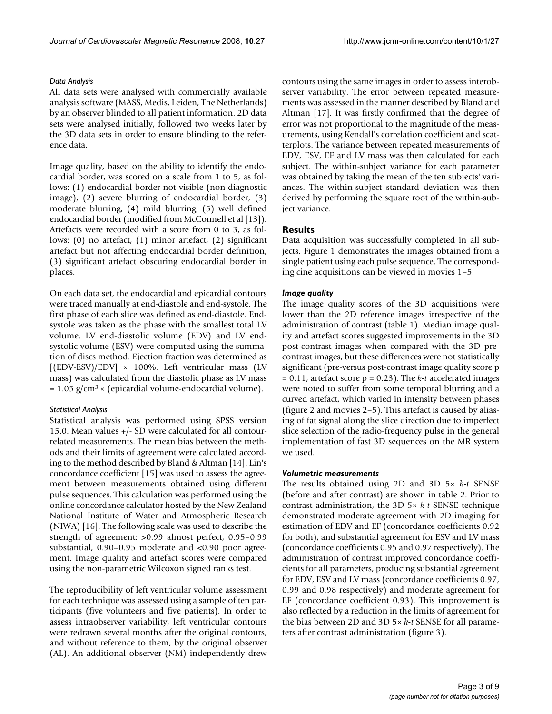#### *Data Analysis*

All data sets were analysed with commercially available analysis software (MASS, Medis, Leiden, The Netherlands) by an observer blinded to all patient information. 2D data sets were analysed initially, followed two weeks later by the 3D data sets in order to ensure blinding to the reference data.

Image quality, based on the ability to identify the endocardial border, was scored on a scale from 1 to 5, as follows: (1) endocardial border not visible (non-diagnostic image), (2) severe blurring of endocardial border, (3) moderate blurring, (4) mild blurring, (5) well defined endocardial border (modified from McConnell et al [13]). Artefacts were recorded with a score from 0 to 3, as follows: (0) no artefact, (1) minor artefact, (2) significant artefact but not affecting endocardial border definition, (3) significant artefact obscuring endocardial border in places.

On each data set, the endocardial and epicardial contours were traced manually at end-diastole and end-systole. The first phase of each slice was defined as end-diastole. Endsystole was taken as the phase with the smallest total LV volume. LV end-diastolic volume (EDV) and LV endsystolic volume (ESV) were computed using the summation of discs method. Ejection fraction was determined as  $[(EDV-ESV)/EDV] \times 100\%$ . Left ventricular mass (LV mass) was calculated from the diastolic phase as LV mass  $= 1.05$  g/cm<sup>3</sup> × (epicardial volume-endocardial volume).

#### *Statistical Analysis*

Statistical analysis was performed using SPSS version 15.0. Mean values +/- SD were calculated for all contourrelated measurements. The mean bias between the methods and their limits of agreement were calculated according to the method described by Bland & Altman [14]. Lin's concordance coefficient [15] was used to assess the agreement between measurements obtained using different pulse sequences. This calculation was performed using the online concordance calculator hosted by the New Zealand National Institute of Water and Atmospheric Research (NIWA) [16]. The following scale was used to describe the strength of agreement: >0.99 almost perfect, 0.95–0.99 substantial, 0.90–0.95 moderate and <0.90 poor agreement. Image quality and artefact scores were compared using the non-parametric Wilcoxon signed ranks test.

The reproducibility of left ventricular volume assessment for each technique was assessed using a sample of ten participants (five volunteers and five patients). In order to assess intraobserver variability, left ventricular contours were redrawn several months after the original contours, and without reference to them, by the original observer (AL). An additional observer (NM) independently drew

contours using the same images in order to assess interobserver variability. The error between repeated measurements was assessed in the manner described by Bland and Altman [17]. It was firstly confirmed that the degree of error was not proportional to the magnitude of the measurements, using Kendall's correlation coefficient and scatterplots. The variance between repeated measurements of EDV, ESV, EF and LV mass was then calculated for each subject. The within-subject variance for each parameter was obtained by taking the mean of the ten subjects' variances. The within-subject standard deviation was then derived by performing the square root of the within-subject variance.

#### **Results**

Data acquisition was successfully completed in all subjects. Figure 1 demonstrates the images obtained from a single patient using each pulse sequence. The corresponding cine acquisitions can be viewed in movies 1–5.

#### *Image quality*

The image quality scores of the 3D acquisitions were lower than the 2D reference images irrespective of the administration of contrast (table 1). Median image quality and artefact scores suggested improvements in the 3D post-contrast images when compared with the 3D precontrast images, but these differences were not statistically significant (pre-versus post-contrast image quality score p = 0.11, artefact score p = 0.23). The *k-t* accelerated images were noted to suffer from some temporal blurring and a curved artefact, which varied in intensity between phases (figure 2 and movies 2–5). This artefact is caused by aliasing of fat signal along the slice direction due to imperfect slice selection of the radio-frequency pulse in the general implementation of fast 3D sequences on the MR system we used.

#### *Volumetric measurements*

The results obtained using 2D and 3D 5× *k-t* SENSE (before and after contrast) are shown in table 2. Prior to contrast administration, the 3D 5× *k-t* SENSE technique demonstrated moderate agreement with 2D imaging for estimation of EDV and EF (concordance coefficients 0.92 for both), and substantial agreement for ESV and LV mass (concordance coefficients 0.95 and 0.97 respectively). The administration of contrast improved concordance coefficients for all parameters, producing substantial agreement for EDV, ESV and LV mass (concordance coefficients 0.97, 0.99 and 0.98 respectively) and moderate agreement for EF (concordance coefficient 0.93). This improvement is also reflected by a reduction in the limits of agreement for the bias between 2D and 3D 5× *k-t* SENSE for all parameters after contrast administration (figure 3).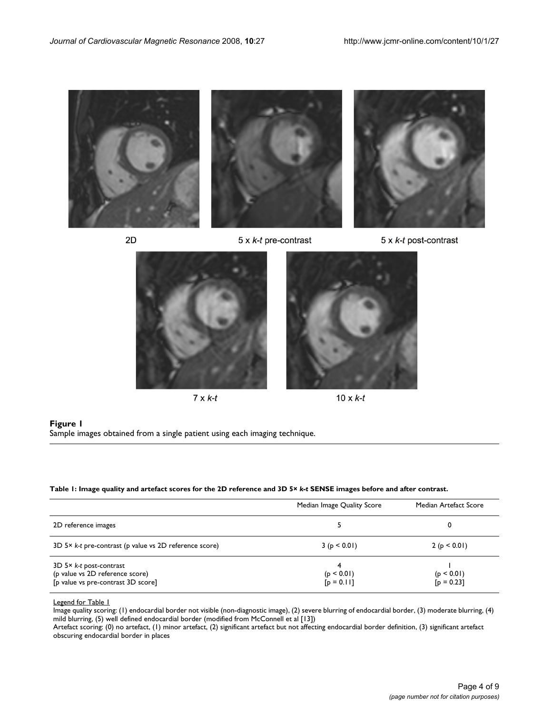

 $2D$ 

5 x k-t pre-contrast





 $7 \times k-t$ 



 $10 \times k-t$ 

**Figure 1** Sample images obtained from a single patient using each imaging technique.

#### **Table 1: Image quality and artefact scores for the 2D reference and 3D 5×** *k-t* **SENSE images before and after contrast.**

|                                                                                                    | Median Image Quality Score      | Median Artefact Score      |
|----------------------------------------------------------------------------------------------------|---------------------------------|----------------------------|
| 2D reference images                                                                                |                                 |                            |
| 3D 5× k-t pre-contrast (p value vs 2D reference score)                                             | 3(p < 0.01)                     | 2 (p < 0.01)               |
| $3D$ 5× k-t post-contrast<br>(p value vs 2D reference score)<br>[p value vs pre-contrast 3D score] | 4<br>(p < 0.01)<br>$[p = 0.11]$ | (p < 0.01)<br>$[p = 0.23]$ |

Legend for Table 1

Image quality scoring: (1) endocardial border not visible (non-diagnostic image), (2) severe blurring of endocardial border, (3) moderate blurring, (4) mild blurring, (5) well defined endocardial border (modified from McConnell et al [13])

Artefact scoring: (0) no artefact, (1) minor artefact, (2) significant artefact but not affecting endocardial border definition, (3) significant artefact obscuring endocardial border in places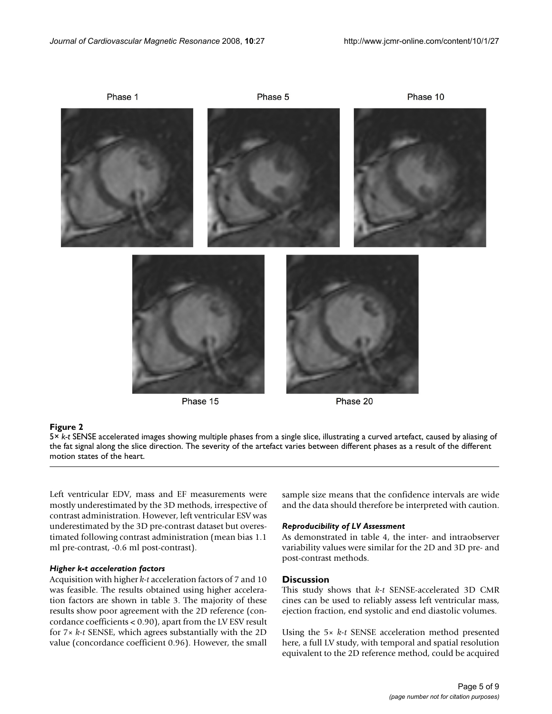

5× the fat signal along the slice direction **Figure 2** *k-t* SENSE accelerated images showing multiple phases from a single slice, illustrating a curved artefact, caused by aliasing of 5× *k-t* SENSE accelerated images showing multiple phases from a single slice, illustrating a curved artefact, caused by aliasing of the fat signal along the slice direction. The severity of the artefact varies between different phases as a result of the different motion states of the heart.

Left ventricular EDV, mass and EF measurements were mostly underestimated by the 3D methods, irrespective of contrast administration. However, left ventricular ESV was underestimated by the 3D pre-contrast dataset but overestimated following contrast administration (mean bias 1.1 ml pre-contrast, -0.6 ml post-contrast).

#### *Higher k-t acceleration factors*

Acquisition with higher *k-t* acceleration factors of 7 and 10 was feasible. The results obtained using higher acceleration factors are shown in table 3. The majority of these results show poor agreement with the 2D reference (concordance coefficients < 0.90), apart from the LV ESV result for 7× *k-t* SENSE, which agrees substantially with the 2D value (concordance coefficient 0.96). However, the small sample size means that the confidence intervals are wide and the data should therefore be interpreted with caution.

#### *Reproducibility of LV Assessment*

As demonstrated in table 4, the inter- and intraobserver variability values were similar for the 2D and 3D pre- and post-contrast methods.

#### **Discussion**

This study shows that *k-t* SENSE-accelerated 3D CMR cines can be used to reliably assess left ventricular mass, ejection fraction, end systolic and end diastolic volumes.

Using the 5× *k-t* SENSE acceleration method presented here, a full LV study, with temporal and spatial resolution equivalent to the 2D reference method, could be acquired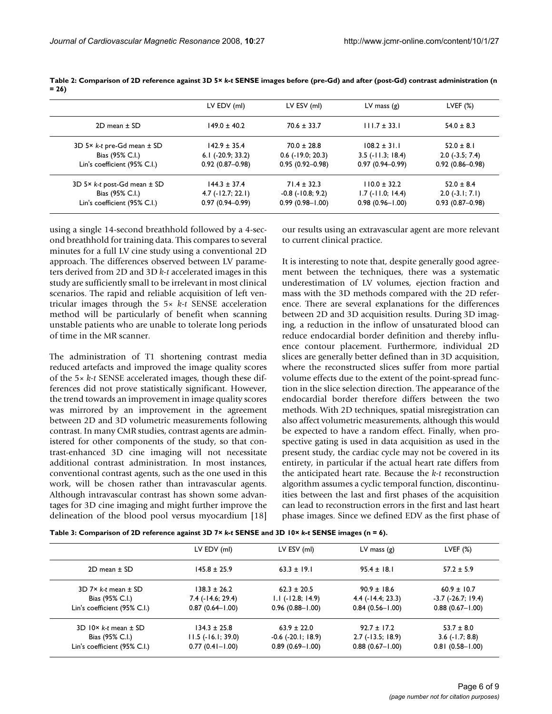|                                         | LV EDV (ml)             | LV ESV (ml)             | LV mass $(g)$              | LVEF $(\%)$         |
|-----------------------------------------|-------------------------|-------------------------|----------------------------|---------------------|
| $2D$ mean $\pm$ SD                      | $149.0 \pm 40.2$        | $70.6 \pm 33.7$         | $111.7 \pm 33.1$           | $54.0 \pm 8.3$      |
| 3D 5 $\times$ k-t pre-Gd mean $\pm$ SD  | $142.9 \pm 35.4$        | $70.0 \pm 28.8$         | $108.2 \pm 31.1$           | $52.0 \pm 8.1$      |
| Bias (95% C.I.)                         | $6.1$ ( $-20.9$ ; 33.2) | $0.6$ ( $-19.0$ ; 20.3) | $3.5$ ( $-11.3$ ; 18.4)    | $2.0$ (-3.5; 7.4)   |
| Lin's coefficient (95% C.I.)            | $0.92(0.87 - 0.98)$     | $0.95(0.92 - 0.98)$     | $0.97(0.94 - 0.99)$        | $0.92(0.86 - 0.98)$ |
| 3D 5 $\times$ k-t post-Gd mean $\pm$ SD | $144.3 \pm 37.4$        | $71.4 \pm 32.3$         | $110.0 \pm 32.2$           | $52.0 \pm 8.4$      |
| Bias (95% C.I.)                         | $4.7$ ( $-12.7$ ; 22.1) | $-0.8$ $(-10.8; 9.2)$   | $1.7$ ( $-11.0$ ; $14.4$ ) | $2.0$ (-3.1; 7.1)   |
| Lin's coefficient (95% C.l.)            | $0.97(0.94 - 0.99)$     | $0.99(0.98 - 1.00)$     | $0.98(0.96 - 1.00)$        | $0.93(0.87 - 0.98)$ |

**Table 2: Comparison of 2D reference against 3D 5×** *k-t* **SENSE images before (pre-Gd) and after (post-Gd) contrast administration (n = 26)**

using a single 14-second breathhold followed by a 4-second breathhold for training data. This compares to several minutes for a full LV cine study using a conventional 2D approach. The differences observed between LV parameters derived from 2D and 3D *k-t* accelerated images in this study are sufficiently small to be irrelevant in most clinical scenarios. The rapid and reliable acquisition of left ventricular images through the 5× *k-t* SENSE acceleration method will be particularly of benefit when scanning unstable patients who are unable to tolerate long periods of time in the MR scanner.

The administration of T1 shortening contrast media reduced artefacts and improved the image quality scores of the 5× *k-t* SENSE accelerated images, though these differences did not prove statistically significant. However, the trend towards an improvement in image quality scores was mirrored by an improvement in the agreement between 2D and 3D volumetric measurements following contrast. In many CMR studies, contrast agents are administered for other components of the study, so that contrast-enhanced 3D cine imaging will not necessitate additional contrast administration. In most instances, conventional contrast agents, such as the one used in this work, will be chosen rather than intravascular agents. Although intravascular contrast has shown some advantages for 3D cine imaging and might further improve the delineation of the blood pool versus myocardium [18]

our results using an extravascular agent are more relevant to current clinical practice.

It is interesting to note that, despite generally good agreement between the techniques, there was a systematic underestimation of LV volumes, ejection fraction and mass with the 3D methods compared with the 2D reference. There are several explanations for the differences between 2D and 3D acquisition results. During 3D imaging, a reduction in the inflow of unsaturated blood can reduce endocardial border definition and thereby influence contour placement. Furthermore, individual 2D slices are generally better defined than in 3D acquisition, where the reconstructed slices suffer from more partial volume effects due to the extent of the point-spread function in the slice selection direction. The appearance of the endocardial border therefore differs between the two methods. With 2D techniques, spatial misregistration can also affect volumetric measurements, although this would be expected to have a random effect. Finally, when prospective gating is used in data acquisition as used in the present study, the cardiac cycle may not be covered in its entirety, in particular if the actual heart rate differs from the anticipated heart rate. Because the *k-t* reconstruction algorithm assumes a cyclic temporal function, discontinuities between the last and first phases of the acquisition can lead to reconstruction errors in the first and last heart phase images. Since we defined EDV as the first phase of

|                                     | LV EDV (ml)              | LV ESV (ml)                | LV mass $(g)$       | LVEF $(\%)$              |
|-------------------------------------|--------------------------|----------------------------|---------------------|--------------------------|
| $2D$ mean $\pm$ SD                  | $145.8 \pm 25.9$         | $63.3 \pm 19.1$            | $95.4 \pm 18.1$     | $57.2 \pm 5.9$           |
| $3D$ 7× k-t mean $\pm$ SD           | $138.3 \pm 26.2$         | $62.3 \pm 20.5$            | $90.9 \pm 18.6$     | $60.9 \pm 10.7$          |
| Bias (95% C.I.)                     | 7.4 (-14.6; 29.4)        | $1.1$ ( $-12.8$ ; $14.9$ ) | $4.4$ (-14.4; 23.3) | $-3.7$ ( $-26.7$ ; 19.4) |
| Lin's coefficient (95% C.I.)        | $0.87(0.64 - 1.00)$      | $0.96(0.88 - 1.00)$        | $0.84(0.56 - 1.00)$ | $0.88(0.67 - 1.00)$      |
| $3D$ $10 \times k$ -t mean $\pm$ SD | $134.3 \pm 25.8$         | $63.9 \pm 22.0$            | $92.7 \pm 17.2$     | $53.7 \pm 8.0$           |
| Bias (95% C.I.)                     | $11.5$ ( $-16.1$ ; 39.0) | $-0.6$ ( $-20.1$ ; 18.9)   | $2.7$ (-13.5; 18.9) | $3.6$ (-1.7; 8.8)        |
| Lin's coefficient (95% C.l.)        | $0.77(0.41 - 1.00)$      | $0.89(0.69 - 1.00)$        | $0.88(0.67 - 1.00)$ | $0.81(0.58 - 1.00)$      |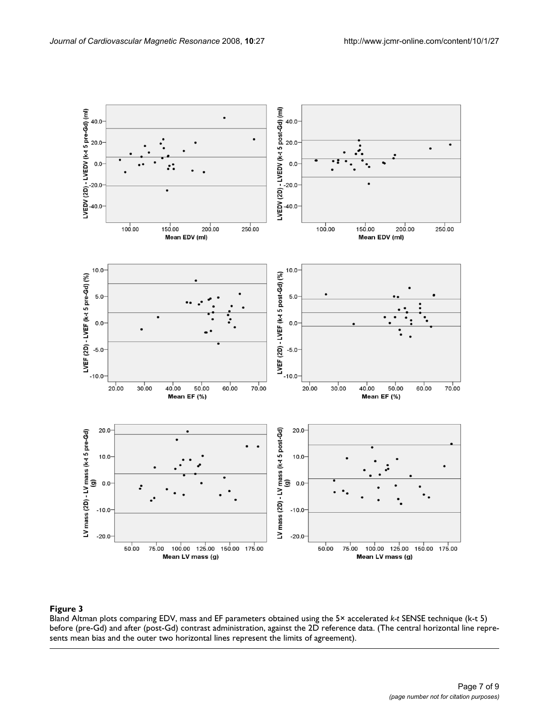

#### **Figure 3** Production of the contract of the contract of the contract of the contract of the contract of the contract of the contract of the contract of the contract of the contract of the contract of the contract of the c

Bland Altman plots comparing EDV, mass and EF parameters obtained using the 5× accelerated *k-t* SENSE technique (k-t 5) before (pre-Gd) and after (post-Gd) contrast administration, against the 2D reference data. (The central horizontal line represents mean bias and the outer two horizontal lines represent the limits of agreement).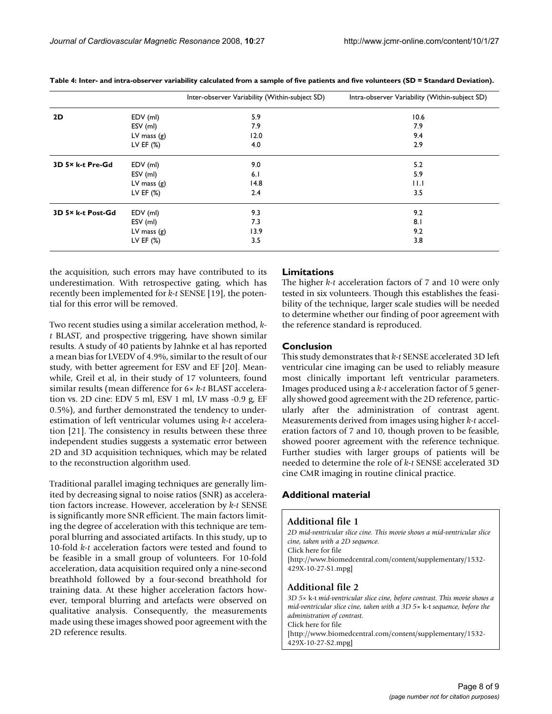|                   |               | Inter-observer Variability (Within-subject SD) | Intra-observer Variability (Within-subject SD) |
|-------------------|---------------|------------------------------------------------|------------------------------------------------|
| 2D                | EDV (ml)      | 5.9                                            | 10.6                                           |
|                   | ESV (ml)      | 7.9                                            | 7.9                                            |
|                   | LV mass $(g)$ | 12.0                                           | 9.4                                            |
|                   | LV EF $(\%)$  | 4.0                                            | 2.9                                            |
| 3D 5× k-t Pre-Gd  | EDV (ml)      | 9.0                                            | 5.2                                            |
|                   | ESV (ml)      | 6.1                                            | 5.9                                            |
|                   | LV mass $(g)$ | 14.8                                           | 11.1                                           |
|                   | LV EF $(\%)$  | 2.4                                            | 3.5                                            |
| 3D 5× k-t Post-Gd | EDV (ml)      | 9.3                                            | 9.2                                            |
|                   | ESV (ml)      | 7.3                                            | 8.1                                            |
|                   | LV mass $(g)$ | 13.9                                           | 9.2                                            |
|                   | LV EF $(%)$   | 3.5                                            | 3.8                                            |

**Table 4: Inter- and intra-observer variability calculated from a sample of five patients and five volunteers (SD = Standard Deviation).**

the acquisition, such errors may have contributed to its underestimation. With retrospective gating, which has recently been implemented for *k-t* SENSE [19], the potential for this error will be removed.

Two recent studies using a similar acceleration method, *kt* BLAST, and prospective triggering, have shown similar results. A study of 40 patients by Jahnke et al has reported a mean bias for LVEDV of 4.9%, similar to the result of our study, with better agreement for ESV and EF [20]. Meanwhile, Greil et al, in their study of 17 volunteers, found similar results (mean difference for 6× *k-t* BLAST acceleration vs. 2D cine: EDV 5 ml, ESV 1 ml, LV mass -0.9 g, EF 0.5%), and further demonstrated the tendency to underestimation of left ventricular volumes using *k-t* acceleration [21]. The consistency in results between these three independent studies suggests a systematic error between 2D and 3D acquisition techniques, which may be related to the reconstruction algorithm used.

Traditional parallel imaging techniques are generally limited by decreasing signal to noise ratios (SNR) as acceleration factors increase. However, acceleration by *k-t* SENSE is significantly more SNR efficient. The main factors limiting the degree of acceleration with this technique are temporal blurring and associated artifacts. In this study, up to 10-fold *k-t* acceleration factors were tested and found to be feasible in a small group of volunteers. For 10-fold acceleration, data acquisition required only a nine-second breathhold followed by a four-second breathhold for training data. At these higher acceleration factors however, temporal blurring and artefacts were observed on qualitative analysis. Consequently, the measurements made using these images showed poor agreement with the 2D reference results.

#### **Limitations**

The higher *k-t* acceleration factors of 7 and 10 were only tested in six volunteers. Though this establishes the feasibility of the technique, larger scale studies will be needed to determine whether our finding of poor agreement with the reference standard is reproduced.

#### **Conclusion**

This study demonstrates that *k-t* SENSE accelerated 3D left ventricular cine imaging can be used to reliably measure most clinically important left ventricular parameters. Images produced using a *k-t* acceleration factor of 5 generally showed good agreement with the 2D reference, particularly after the administration of contrast agent. Measurements derived from images using higher *k-t* acceleration factors of 7 and 10, though proven to be feasible, showed poorer agreement with the reference technique. Further studies with larger groups of patients will be needed to determine the role of *k-t* SENSE accelerated 3D cine CMR imaging in routine clinical practice.

#### **Additional material**

#### **Additional file 1**

*2D mid-ventricular slice cine. This movie shows a mid-ventricular slice cine, taken with a 2D sequence.* Click here for file

[\[http://www.biomedcentral.com/content/supplementary/1532-](http://www.biomedcentral.com/content/supplementary/1532-429X-10-27-S1.mpg) 429X-10-27-S1.mpg]

#### **Additional file 2**

*3D 5×* k-t *mid-ventricular slice cine, before contrast. This movie shows a mid-ventricular slice cine, taken with a 3D 5×* k-t *sequence, before the administration of contrast.* Click here for file [\[http://www.biomedcentral.com/content/supplementary/1532-](http://www.biomedcentral.com/content/supplementary/1532-429X-10-27-S2.mpg) 429X-10-27-S2.mpg]